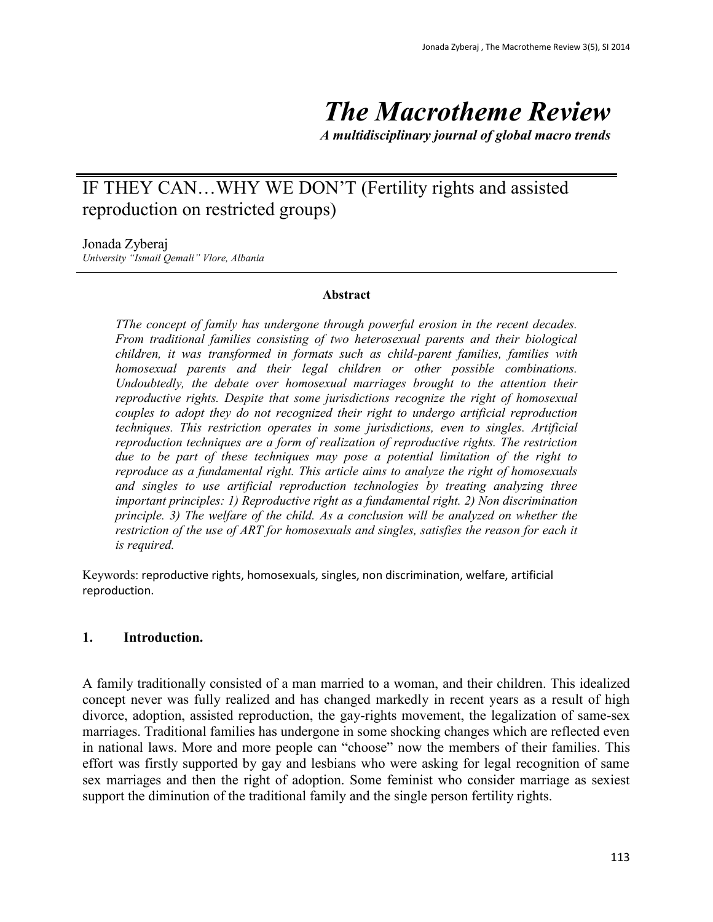# *The Macrotheme Review*

*A multidisciplinary journal of global macro trends*

## IF THEY CAN…WHY WE DON'T (Fertility rights and assisted reproduction on restricted groups)

#### Jonada Zyberaj

*University "Ismail Qemali" Vlore, Albania*

#### **Abstract**

*TThe concept of family has undergone through powerful erosion in the recent decades. From traditional families consisting of two heterosexual parents and their biological children, it was transformed in formats such as child-parent families, families with homosexual parents and their legal children or other possible combinations. Undoubtedly, the debate over homosexual marriages brought to the attention their reproductive rights. Despite that some jurisdictions recognize the right of homosexual couples to adopt they do not recognized their right to undergo artificial reproduction techniques. This restriction operates in some jurisdictions, even to singles. Artificial reproduction techniques are a form of realization of reproductive rights. The restriction due to be part of these techniques may pose a potential limitation of the right to reproduce as a fundamental right. This article aims to analyze the right of homosexuals and singles to use artificial reproduction technologies by treating analyzing three important principles: 1) Reproductive right as a fundamental right. 2) Non discrimination principle. 3) The welfare of the child. As a conclusion will be analyzed on whether the restriction of the use of ART for homosexuals and singles, satisfies the reason for each it is required.*

Keywords: reproductive rights, homosexuals, singles, non discrimination, welfare, artificial reproduction.

### **1. Introduction.**

A family traditionally consisted of a man married to a woman, and their children. This idealized concept never was fully realized and has changed markedly in recent years as a result of high divorce, adoption, assisted reproduction, the gay-rights movement, the legalization of same-sex marriages. Traditional families has undergone in some shocking changes which are reflected even in national laws. More and more people can "choose" now the members of their families. This effort was firstly supported by gay and lesbians who were asking for legal recognition of same sex marriages and then the right of adoption. Some feminist who consider marriage as sexiest support the diminution of the traditional family and the single person fertility rights.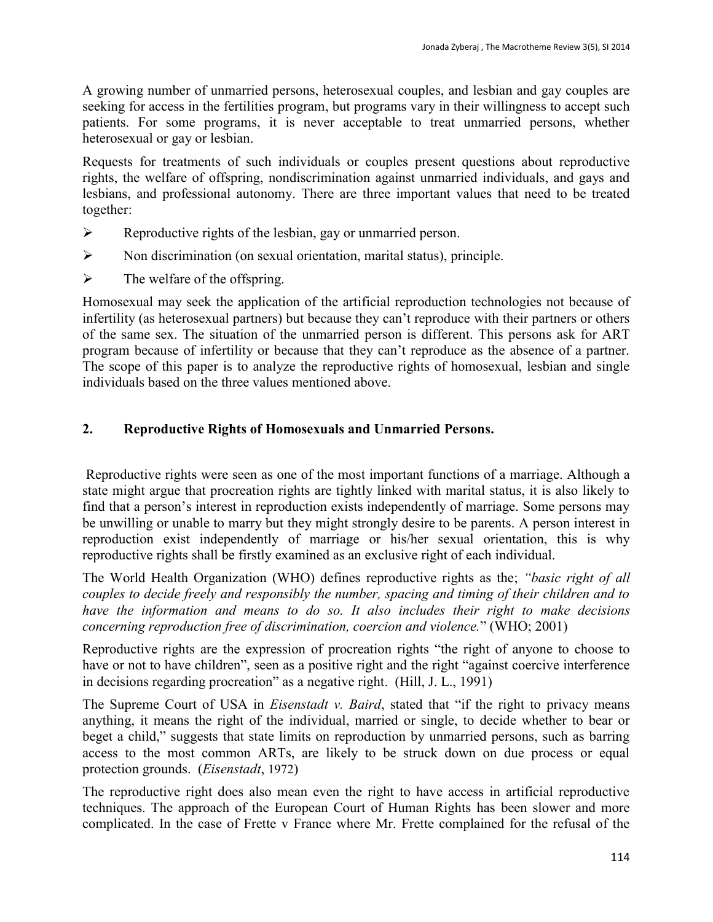A growing number of unmarried persons, heterosexual couples, and lesbian and gay couples are seeking for access in the fertilities program, but programs vary in their willingness to accept such patients. For some programs, it is never acceptable to treat unmarried persons, whether heterosexual or gay or lesbian.

Requests for treatments of such individuals or couples present questions about reproductive rights, the welfare of offspring, nondiscrimination against unmarried individuals, and gays and lesbians, and professional autonomy. There are three important values that need to be treated together:

- $\triangleright$  Reproductive rights of the lesbian, gay or unmarried person.
- Non discrimination (on sexual orientation, marital status), principle.
- $\triangleright$  The welfare of the offspring.

Homosexual may seek the application of the artificial reproduction technologies not because of infertility (as heterosexual partners) but because they can't reproduce with their partners or others of the same sex. The situation of the unmarried person is different. This persons ask for ART program because of infertility or because that they can't reproduce as the absence of a partner. The scope of this paper is to analyze the reproductive rights of homosexual, lesbian and single individuals based on the three values mentioned above.

## **2. Reproductive Rights of Homosexuals and Unmarried Persons.**

Reproductive rights were seen as one of the most important functions of a marriage. Although a state might argue that procreation rights are tightly linked with marital status, it is also likely to find that a person's interest in reproduction exists independently of marriage. Some persons may be unwilling or unable to marry but they might strongly desire to be parents. A person interest in reproduction exist independently of marriage or his/her sexual orientation, this is why reproductive rights shall be firstly examined as an exclusive right of each individual.

The World Health Organization (WHO) defines reproductive rights as the; *"basic right of all couples to decide freely and responsibly the number, spacing and timing of their children and to have the information and means to do so. It also includes their right to make decisions concerning reproduction free of discrimination, coercion and violence.*" (WHO; 2001)

Reproductive rights are the expression of procreation rights "the right of anyone to choose to have or not to have children", seen as a positive right and the right "against coercive interference in decisions regarding procreation" as a negative right. (Hill, J. L., 1991)

The Supreme Court of USA in *Eisenstadt v. Baird*, stated that "if the right to privacy means anything, it means the right of the individual, married or single, to decide whether to bear or beget a child," suggests that state limits on reproduction by unmarried persons, such as barring access to the most common ARTs, are likely to be struck down on due process or equal protection grounds. (*Eisenstadt*, 1972)

The reproductive right does also mean even the right to have access in artificial reproductive techniques. The approach of the European Court of Human Rights has been slower and more complicated. In the case of Frette v France where Mr. Frette complained for the refusal of the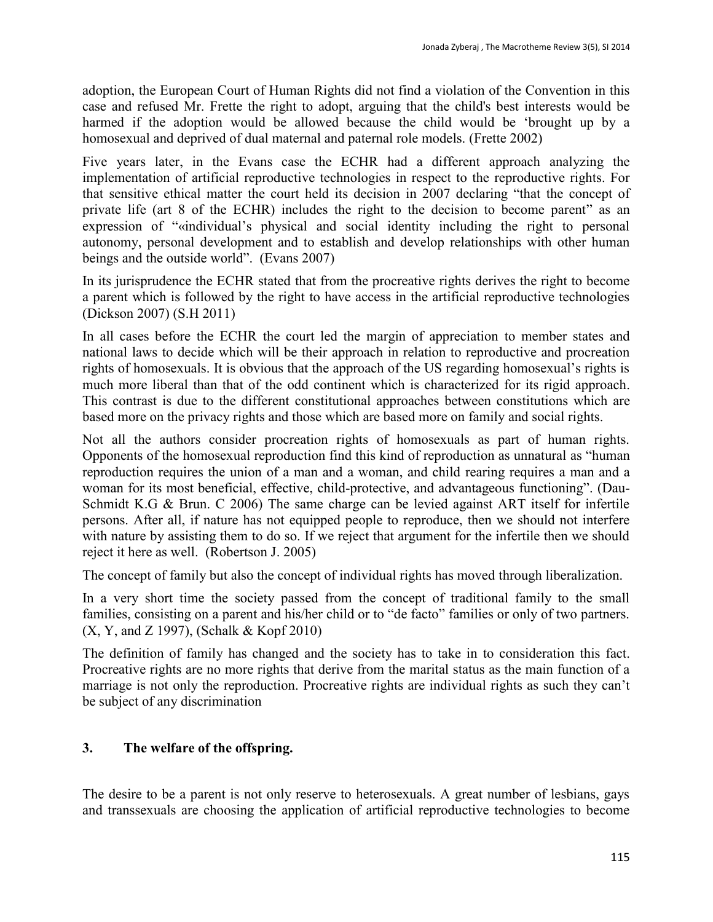adoption, the European Court of Human Rights did not find a violation of the Convention in this case and refused Mr. Frette the right to adopt, arguing that the child's best interests would be harmed if the adoption would be allowed because the child would be 'brought up by a homosexual and deprived of dual maternal and paternal role models. (Frette 2002)

Five years later, in the Evans case the ECHR had a different approach analyzing the implementation of artificial reproductive technologies in respect to the reproductive rights. For that sensitive ethical matter the court held its decision in 2007 declaring "that the concept of private life (art 8 of the ECHR) includes the right to the decision to become parent" as an expression of "«individual's physical and social identity including the right to personal autonomy, personal development and to establish and develop relationships with other human beings and the outside world". (Evans 2007)

In its jurisprudence the ECHR stated that from the procreative rights derives the right to become a parent which is followed by the right to have access in the artificial reproductive technologies (Dickson 2007) (S.H 2011)

In all cases before the ECHR the court led the margin of appreciation to member states and national laws to decide which will be their approach in relation to reproductive and procreation rights of homosexuals. It is obvious that the approach of the US regarding homosexual's rights is much more liberal than that of the odd continent which is characterized for its rigid approach. This contrast is due to the different constitutional approaches between constitutions which are based more on the privacy rights and those which are based more on family and social rights.

Not all the authors consider procreation rights of homosexuals as part of human rights. Opponents of the homosexual reproduction find this kind of reproduction as unnatural as "human reproduction requires the union of a man and a woman, and child rearing requires a man and a woman for its most beneficial, effective, child-protective, and advantageous functioning". (Dau-Schmidt K.G & Brun. C 2006) The same charge can be levied against ART itself for infertile persons. After all, if nature has not equipped people to reproduce, then we should not interfere with nature by assisting them to do so. If we reject that argument for the infertile then we should reject it here as well. (Robertson J. 2005)

The concept of family but also the concept of individual rights has moved through liberalization.

In a very short time the society passed from the concept of traditional family to the small families, consisting on a parent and his/her child or to "de facto" families or only of two partners. (X, Y, and Z 1997), (Schalk & Kopf 2010)

The definition of family has changed and the society has to take in to consideration this fact. Procreative rights are no more rights that derive from the marital status as the main function of a marriage is not only the reproduction. Procreative rights are individual rights as such they can't be subject of any discrimination

## **3. The welfare of the offspring.**

The desire to be a parent is not only reserve to heterosexuals. A great number of lesbians, gays and transsexuals are choosing the application of artificial reproductive technologies to become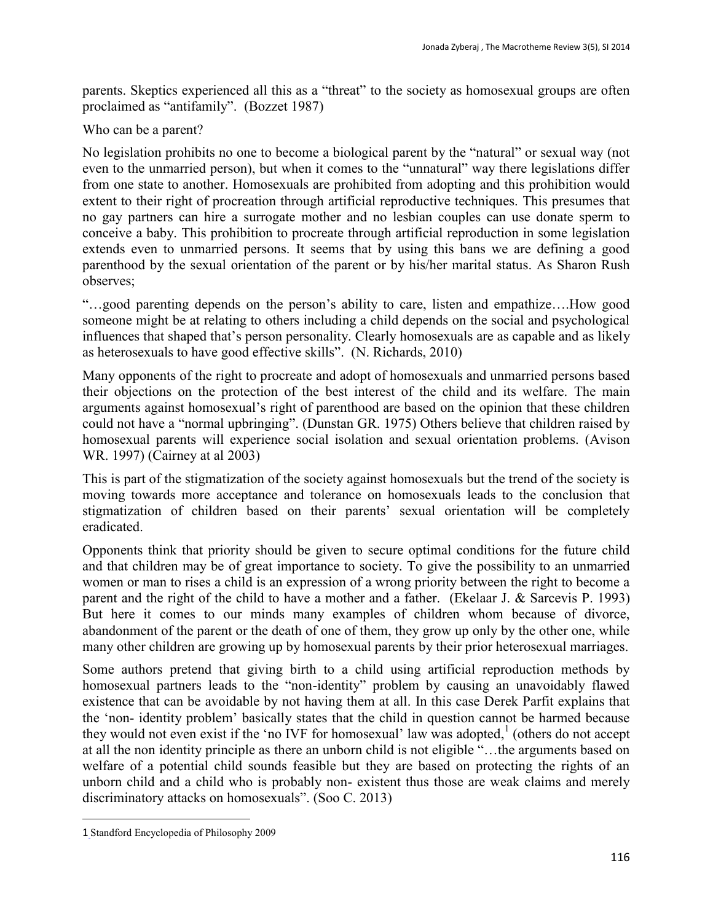parents. Skeptics experienced all this as a "threat" to the society as homosexual groups are often proclaimed as "antifamily". (Bozzet 1987)

Who can be a parent?

No legislation prohibits no one to become a biological parent by the "natural" or sexual way (not even to the unmarried person), but when it comes to the "unnatural" way there legislations differ from one state to another. Homosexuals are prohibited from adopting and this prohibition would extent to their right of procreation through artificial reproductive techniques. This presumes that no gay partners can hire a surrogate mother and no lesbian couples can use donate sperm to conceive a baby. This prohibition to procreate through artificial reproduction in some legislation extends even to unmarried persons. It seems that by using this bans we are defining a good parenthood by the sexual orientation of the parent or by his/her marital status. As Sharon Rush observes;

"…good parenting depends on the person's ability to care, listen and empathize….How good someone might be at relating to others including a child depends on the social and psychological influences that shaped that's person personality. Clearly homosexuals are as capable and as likely as heterosexuals to have good effective skills". (N. Richards, 2010)

Many opponents of the right to procreate and adopt of homosexuals and unmarried persons based their objections on the protection of the best interest of the child and its welfare. The main arguments against homosexual's right of parenthood are based on the opinion that these children could not have a "normal upbringing". (Dunstan GR. 1975) Others believe that children raised by homosexual parents will experience social isolation and sexual orientation problems. (Avison WR. 1997) (Cairney at al 2003)

This is part of the stigmatization of the society against homosexuals but the trend of the society is moving towards more acceptance and tolerance on homosexuals leads to the conclusion that stigmatization of children based on their parents' sexual orientation will be completely eradicated.

Opponents think that priority should be given to secure optimal conditions for the future child and that children may be of great importance to society. To give the possibility to an unmarried women or man to rises a child is an expression of a wrong priority between the right to become a parent and the right of the child to have a mother and a father. (Ekelaar J. & Sarcevis P. 1993) But here it comes to our minds many examples of children whom because of divorce, abandonment of the parent or the death of one of them, they grow up only by the other one, while many other children are growing up by homosexual parents by their prior heterosexual marriages.

Some authors pretend that giving birth to a child using artificial reproduction methods by homosexual partners leads to the "non-identity" problem by causing an unavoidably flawed existence that can be avoidable by not having them at all. In this case Derek Parfit explains that the 'non- identity problem' basically states that the child in question cannot be harmed because they would not even exist if the 'no IVF for homosexual' law was adopted, 1 (others do not accept at all the non identity principle as there an unborn child is not eligible "…the arguments based on welfare of a potential child sounds feasible but they are based on protecting the rights of an unborn child and a child who is probably non- existent thus those are weak claims and merely discriminatory attacks on homosexuals". (Soo C. 2013)

 $\overline{a}$ 

<sup>1</sup> Standford Encyclopedia of Philosophy 2009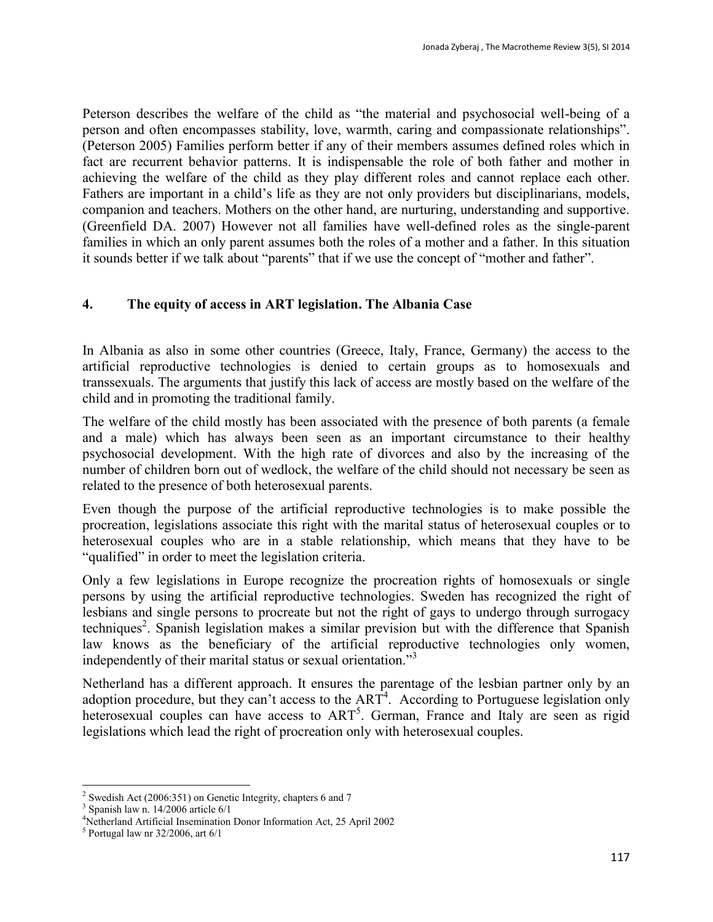Peterson describes the welfare of the child as "the material and psychosocial well-being of a person and often encompasses stability, love, warmth, caring and compassionate relationships". (Peterson 2005) Families perform better if any of their members assumes defined roles which in fact are recurrent behavior patterns. It is indispensable the role of both father and mother in achieving the welfare of the child as they play different roles and cannot replace each other. Fathers are important in a child's life as they are not only providers but disciplinarians, models, companion and teachers. Mothers on the other hand, are nurturing, understanding and supportive. (Greenfield DA. 2007) However not all families have well-defined roles as the single-parent families in which an only parent assumes both the roles of a mother and a father. In this situation it sounds better if we talk about "parents" that if we use the concept of "mother and father".

## **4. The equity of access in ART legislation. The Albania Case**

In Albania as also in some other countries (Greece, Italy, France, Germany) the access to the artificial reproductive technologies is denied to certain groups as to homosexuals and transsexuals. The arguments that justify this lack of access are mostly based on the welfare of the child and in promoting the traditional family.

The welfare of the child mostly has been associated with the presence of both parents (a female and a male) which has always been seen as an important circumstance to their healthy psychosocial development. With the high rate of divorces and also by the increasing of the number of children born out of wedlock, the welfare of the child should not necessary be seen as related to the presence of both heterosexual parents.

Even though the purpose of the artificial reproductive technologies is to make possible the procreation, legislations associate this right with the marital status of heterosexual couples or to heterosexual couples who are in a stable relationship, which means that they have to be "qualified" in order to meet the legislation criteria.

Only a few legislations in Europe recognize the procreation rights of homosexuals or single persons by using the artificial reproductive technologies. Sweden has recognized the right of lesbians and single persons to procreate but not the right of gays to undergo through surrogacy techniques<sup>2</sup>. Spanish legislation makes a similar prevision but with the difference that Spanish law knows as the beneficiary of the artificial reproductive technologies only women, independently of their marital status or sexual orientation."<sup>3</sup>

Netherland has a different approach. It ensures the parentage of the lesbian partner only by an adoption procedure, but they can't access to the  $ART<sup>4</sup>$ . According to Portuguese legislation only heterosexual couples can have access to ART<sup>5</sup>. German, France and Italy are seen as rigid legislations which lead the right of procreation only with heterosexual couples.

 $\ddot{\phantom{a}}$ <sup>2</sup> Swedish Act (2006:351) on Genetic Integrity, chapters 6 and 7

<sup>3</sup> Spanish law n. 14/2006 article 6/1

<sup>4</sup>Netherland Artificial Insemination Donor Information Act, 25 April 2002

<sup>5</sup> Portugal law nr 32/2006, art 6/1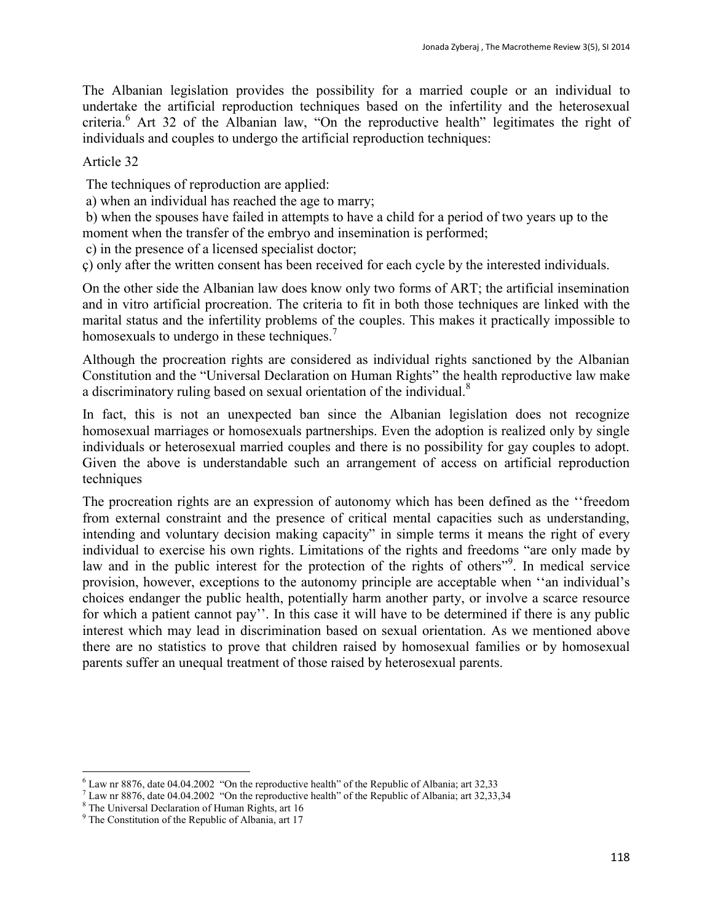The Albanian legislation provides the possibility for a married couple or an individual to undertake the artificial reproduction techniques based on the infertility and the heterosexual criteria.<sup>6</sup> Art 32 of the Albanian law, "On the reproductive health" legitimates the right of individuals and couples to undergo the artificial reproduction techniques:

#### Article 32

The techniques of reproduction are applied:

a) when an individual has reached the age to marry;

b) when the spouses have failed in attempts to have a child for a period of two years up to the moment when the transfer of the embryo and insemination is performed;

c) in the presence of a licensed specialist doctor;

ç) only after the written consent has been received for each cycle by the interested individuals.

On the other side the Albanian law does know only two forms of ART; the artificial insemination and in vitro artificial procreation. The criteria to fit in both those techniques are linked with the marital status and the infertility problems of the couples. This makes it practically impossible to homosexuals to undergo in these techniques.<sup>7</sup>

Although the procreation rights are considered as individual rights sanctioned by the Albanian Constitution and the "Universal Declaration on Human Rights" the health reproductive law make a discriminatory ruling based on sexual orientation of the individual.<sup>8</sup>

In fact, this is not an unexpected ban since the Albanian legislation does not recognize homosexual marriages or homosexuals partnerships. Even the adoption is realized only by single individuals or heterosexual married couples and there is no possibility for gay couples to adopt. Given the above is understandable such an arrangement of access on artificial reproduction techniques

The procreation rights are an expression of autonomy which has been defined as the ''freedom from external constraint and the presence of critical mental capacities such as understanding, intending and voluntary decision making capacity" in simple terms it means the right of every individual to exercise his own rights. Limitations of the rights and freedoms "are only made by law and in the public interest for the protection of the rights of others"<sup>9</sup>. In medical service provision, however, exceptions to the autonomy principle are acceptable when ''an individual's choices endanger the public health, potentially harm another party, or involve a scarce resource for which a patient cannot pay''. In this case it will have to be determined if there is any public interest which may lead in discrimination based on sexual orientation. As we mentioned above there are no statistics to prove that children raised by homosexual families or by homosexual parents suffer an unequal treatment of those raised by heterosexual parents.

 $\ddot{\phantom{a}}$  $6$  Law nr 8876, date 04.04.2002 "On the reproductive health" of the Republic of Albania; art 32,33

 $<sup>7</sup>$  Law nr 8876, date 04.04.2002 "On the reproductive health" of the Republic of Albania; art 32,33,34</sup>

<sup>8</sup> The Universal Declaration of Human Rights, art 16

<sup>&</sup>lt;sup>9</sup> The Constitution of the Republic of Albania, art 17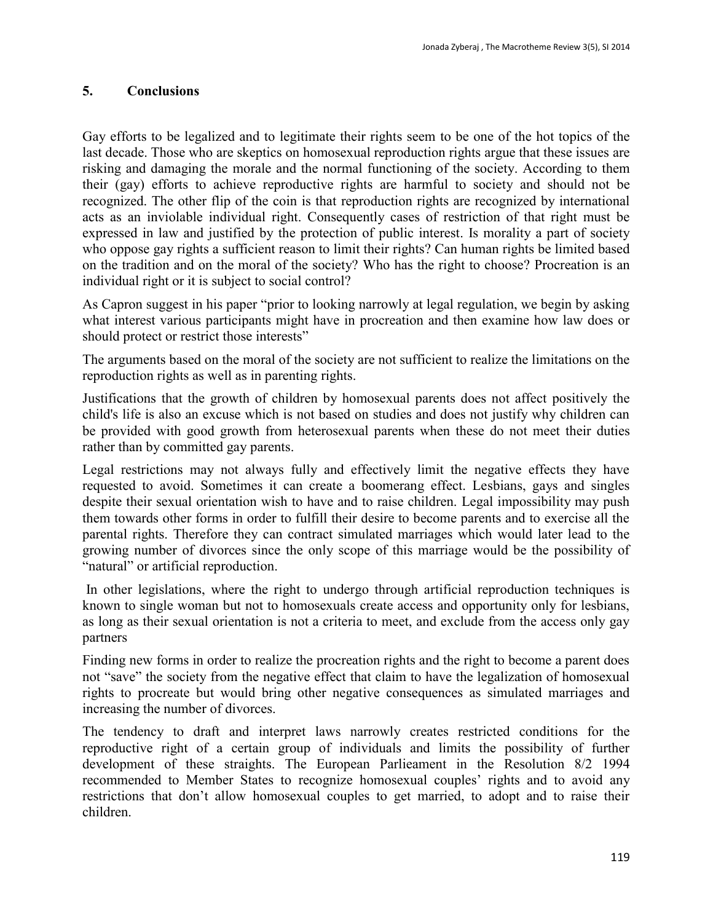## **5. Conclusions**

Gay efforts to be legalized and to legitimate their rights seem to be one of the hot topics of the last decade. Those who are skeptics on homosexual reproduction rights argue that these issues are risking and damaging the morale and the normal functioning of the society. According to them their (gay) efforts to achieve reproductive rights are harmful to society and should not be recognized. The other flip of the coin is that reproduction rights are recognized by international acts as an inviolable individual right. Consequently cases of restriction of that right must be expressed in law and justified by the protection of public interest. Is morality a part of society who oppose gay rights a sufficient reason to limit their rights? Can human rights be limited based on the tradition and on the moral of the society? Who has the right to choose? Procreation is an individual right or it is subject to social control?

As Capron suggest in his paper "prior to looking narrowly at legal regulation, we begin by asking what interest various participants might have in procreation and then examine how law does or should protect or restrict those interests"

The arguments based on the moral of the society are not sufficient to realize the limitations on the reproduction rights as well as in parenting rights.

Justifications that the growth of children by homosexual parents does not affect positively the child's life is also an excuse which is not based on studies and does not justify why children can be provided with good growth from heterosexual parents when these do not meet their duties rather than by committed gay parents.

Legal restrictions may not always fully and effectively limit the negative effects they have requested to avoid. Sometimes it can create a boomerang effect. Lesbians, gays and singles despite their sexual orientation wish to have and to raise children. Legal impossibility may push them towards other forms in order to fulfill their desire to become parents and to exercise all the parental rights. Therefore they can contract simulated marriages which would later lead to the growing number of divorces since the only scope of this marriage would be the possibility of "natural" or artificial reproduction.

In other legislations, where the right to undergo through artificial reproduction techniques is known to single woman but not to homosexuals create access and opportunity only for lesbians, as long as their sexual orientation is not a criteria to meet, and exclude from the access only gay partners

Finding new forms in order to realize the procreation rights and the right to become a parent does not "save" the society from the negative effect that claim to have the legalization of homosexual rights to procreate but would bring other negative consequences as simulated marriages and increasing the number of divorces.

The tendency to draft and interpret laws narrowly creates restricted conditions for the reproductive right of a certain group of individuals and limits the possibility of further development of these straights. The European Parlieament in the Resolution 8/2 1994 recommended to Member States to recognize homosexual couples' rights and to avoid any restrictions that don't allow homosexual couples to get married, to adopt and to raise their children.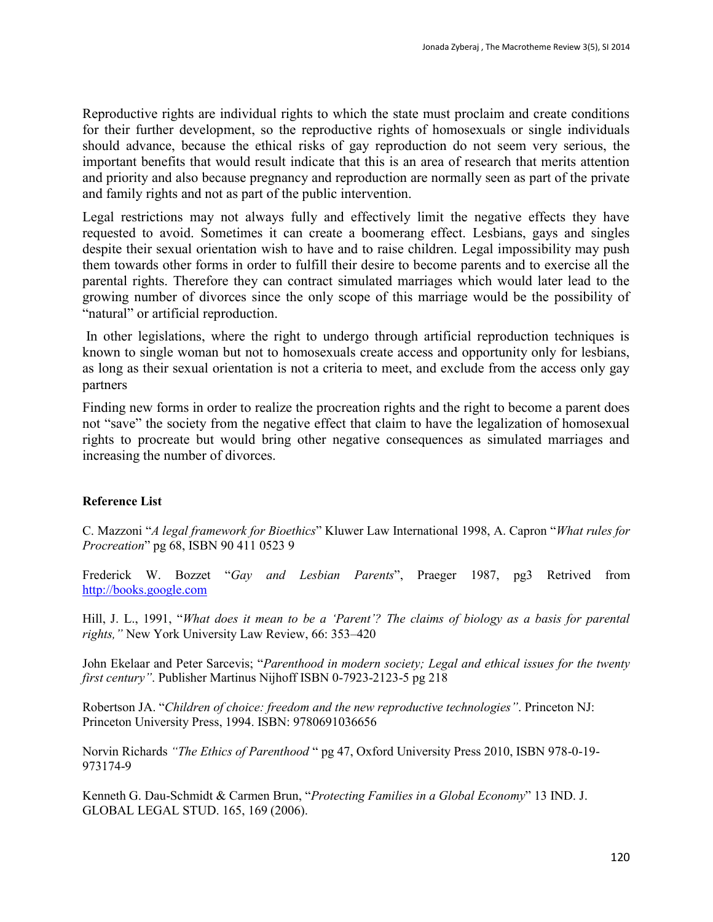Reproductive rights are individual rights to which the state must proclaim and create conditions for their further development, so the reproductive rights of homosexuals or single individuals should advance, because the ethical risks of gay reproduction do not seem very serious, the important benefits that would result indicate that this is an area of research that merits attention and priority and also because pregnancy and reproduction are normally seen as part of the private and family rights and not as part of the public intervention.

Legal restrictions may not always fully and effectively limit the negative effects they have requested to avoid. Sometimes it can create a boomerang effect. Lesbians, gays and singles despite their sexual orientation wish to have and to raise children. Legal impossibility may push them towards other forms in order to fulfill their desire to become parents and to exercise all the parental rights. Therefore they can contract simulated marriages which would later lead to the growing number of divorces since the only scope of this marriage would be the possibility of "natural" or artificial reproduction.

In other legislations, where the right to undergo through artificial reproduction techniques is known to single woman but not to homosexuals create access and opportunity only for lesbians, as long as their sexual orientation is not a criteria to meet, and exclude from the access only gay partners

Finding new forms in order to realize the procreation rights and the right to become a parent does not "save" the society from the negative effect that claim to have the legalization of homosexual rights to procreate but would bring other negative consequences as simulated marriages and increasing the number of divorces.

### **Reference List**

C. Mazzoni "*A legal framework for Bioethics*" Kluwer Law International 1998, A. Capron "*What rules for Procreation*" pg 68, ISBN 90 411 0523 9

Frederick W. Bozzet "*Gay and Lesbian Parents*", Praeger 1987, pg3 Retrived from [http://books.google.com](http://books.google.com/)

Hill, J. L., 1991, "*What does it mean to be a 'Parent'? The claims of biology as a basis for parental rights,"* New York University Law Review, 66: 353–420

John Ekelaar and Peter Sarcevis; "*Parenthood in modern society; Legal and ethical issues for the twenty first century"*. Publisher Martinus Nijhoff ISBN 0-7923-2123-5 pg 218

Robertson JA. "*Children of choice: freedom and the new reproductive technologies"*. Princeton NJ: Princeton University Press, 1994. ISBN: 9780691036656

Norvin Richards *"The Ethics of Parenthood* " pg 47, Oxford University Press 2010, ISBN 978-0-19- 973174-9

Kenneth G. Dau-Schmidt & Carmen Brun, "*Protecting Families in a Global Economy*" 13 IND. J. GLOBAL LEGAL STUD. 165, 169 (2006).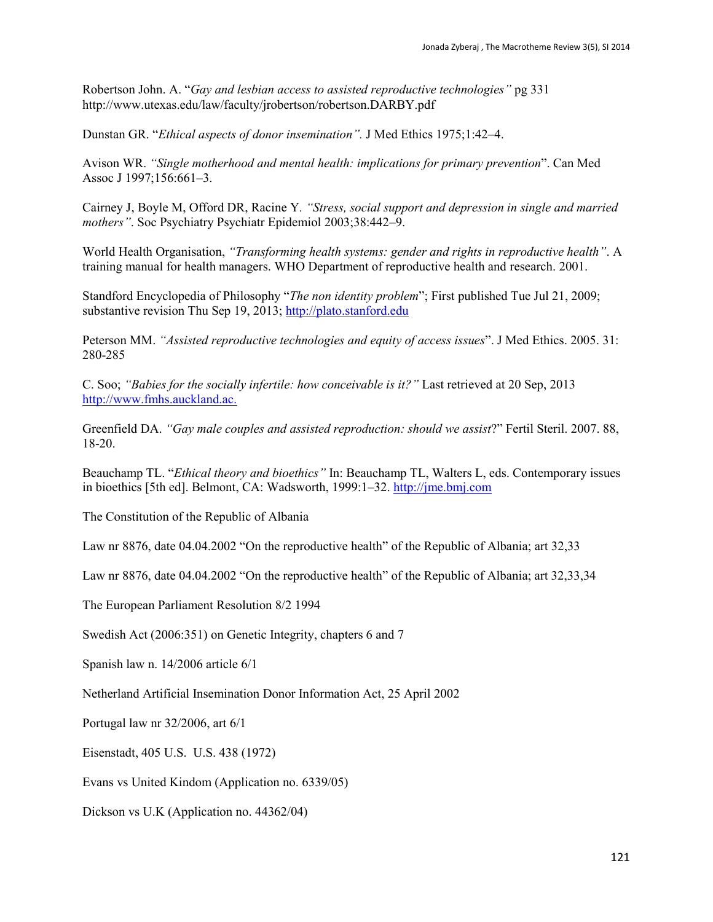Robertson John. A. "*Gay and lesbian access to assisted reproductive technologies"* pg 331 <http://www.utexas.edu/law/faculty/jrobertson/robertson.DARBY.pdf>

Dunstan GR. "*Ethical aspects of donor insemination".* J Med Ethics 1975;1:42–4.

Avison WR. *"Single motherhood and mental health: implications for primary prevention*". Can Med Assoc J 1997;156:661–3.

Cairney J, Boyle M, Offord DR, Racine Y*. "Stress, social support and depression in single and married mothers"*. Soc Psychiatry Psychiatr Epidemiol 2003;38:442–9.

World Health Organisation, *"Transforming health systems: gender and rights in reproductive health"*. A training manual for health managers. WHO Department of reproductive health and research. 2001.

Standford Encyclopedia of Philosophy "*The non identity problem*"; First published Tue Jul 21, 2009; substantive revision Thu Sep 19, 2013; [http://plato.stanford.edu](http://plato.stanford.edu/)

Peterson MM. *"Assisted reproductive technologies and equity of access issues*". J Med Ethics. 2005. 31: 280-285

C. Soo; *"Babies for the socially infertile: how conceivable is it?"* Last retrieved at 20 Sep, 2013 [http://www.fmhs.auckland.ac.](http://www.fmhs.auckland.ac.nz/faculty/teaching/mbchb311a/_docs/IVF-for-homosexuals-complete.pdf)

Greenfield DA. *"Gay male couples and assisted reproduction: should we assist*?" Fertil Steril. 2007. 88, 18-20.

Beauchamp TL. "*Ethical theory and bioethics"* In: Beauchamp TL, Walters L, eds. Contemporary issues in bioethics [5th ed]. Belmont, CA: Wadsworth, 1999:1–32. [http://jme.bmj.com](http://jme.bmj.com/)

The Constitution of the Republic of Albania

Law nr 8876, date 04.04.2002 "On the reproductive health" of the Republic of Albania; art 32,33

Law nr 8876, date 04.04.2002 "On the reproductive health" of the Republic of Albania; art 32,33,34

The European Parliament Resolution 8/2 1994

Swedish Act (2006:351) on Genetic Integrity, chapters 6 and 7

Spanish law n. 14/2006 article 6/1

Netherland Artificial Insemination Donor Information Act, 25 April 2002

Portugal law nr 32/2006, art 6/1

Eisenstadt, 405 U.S. U.S. 438 (1972)

Evans vs United Kindom (Application no. [6339/05\)](http://hudoc.echr.coe.int/sites/eng/pages/search.aspx#{)

Dickson vs U.K (Application no. [44362/04\)](http://hudoc.echr.coe.int/sites/eng/pages/search.aspx#{)